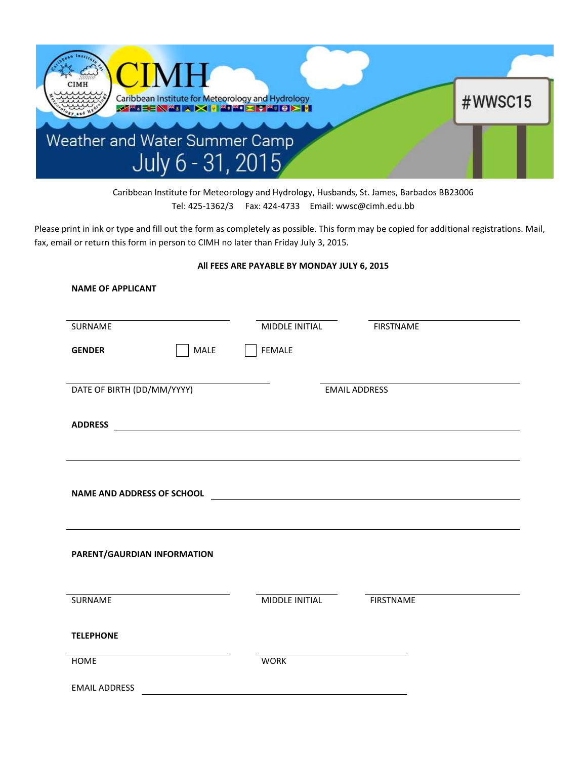

Caribbean Institute for Meteorology and Hydrology, Husbands, St. James, Barbados BB23006 Tel: 425-1362/3 Fax: 424-4733 Email: wwsc@cimh.edu.bb

Please print in ink or type and fill out the form as completely as possible. This form may be copied for additional registrations. Mail, fax, email or return this form in person to CIMH no later than Friday July 3, 2015.

## **All FEES ARE PAYABLE BY MONDAY JULY 6, 2015**

| SURNAME                           | MIDDLE INITIAL                                                                                                         | <b>FIRSTNAME</b> |
|-----------------------------------|------------------------------------------------------------------------------------------------------------------------|------------------|
| MALE<br><b>GENDER</b>             | <b>FEMALE</b>                                                                                                          |                  |
| DATE OF BIRTH (DD/MM/YYYY)        | <b>EMAIL ADDRESS</b>                                                                                                   |                  |
| <b>ADDRESS</b>                    | <u> 1989 - Johann Stoff, deutscher Stoffen und der Stoffen und der Stoffen und der Stoffen und der Stoffen und der</u> |                  |
|                                   |                                                                                                                        |                  |
| <b>NAME AND ADDRESS OF SCHOOL</b> | <u> 1980 - Johann Barnett, fransk politik (f. 1980)</u>                                                                |                  |
|                                   |                                                                                                                        |                  |
| PARENT/GAURDIAN INFORMATION       |                                                                                                                        |                  |
|                                   |                                                                                                                        |                  |
| SURNAME                           | MIDDLE INITIAL                                                                                                         | <b>FIRSTNAME</b> |
| <b>TELEPHONE</b>                  |                                                                                                                        |                  |
| <b>HOME</b>                       | <b>WORK</b>                                                                                                            |                  |
|                                   |                                                                                                                        |                  |